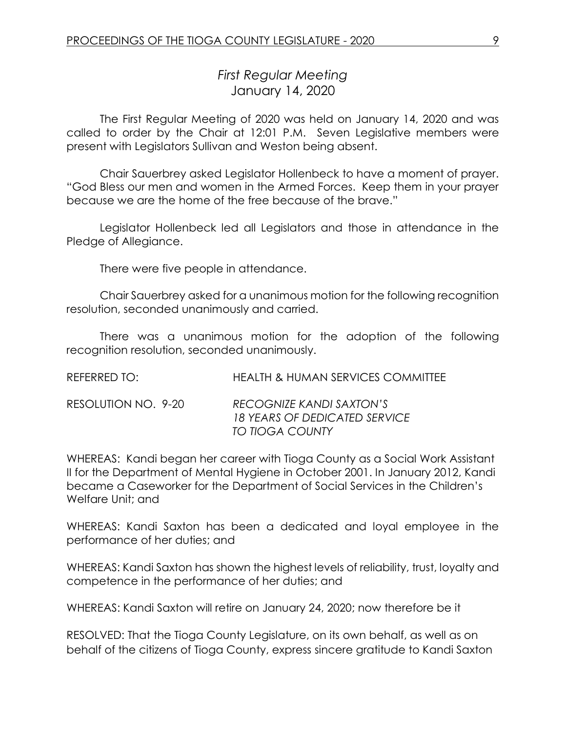# *First Regular Meeting* January 14, 2020

The First Regular Meeting of 2020 was held on January 14, 2020 and was called to order by the Chair at 12:01 P.M. Seven Legislative members were present with Legislators Sullivan and Weston being absent.

Chair Sauerbrey asked Legislator Hollenbeck to have a moment of prayer. "God Bless our men and women in the Armed Forces. Keep them in your prayer because we are the home of the free because of the brave."

Legislator Hollenbeck led all Legislators and those in attendance in the Pledge of Allegiance.

There were five people in attendance.

Chair Sauerbrey asked for a unanimous motion for the following recognition resolution, seconded unanimously and carried.

There was a unanimous motion for the adoption of the following recognition resolution, seconded unanimously.

| REFERRED TO:        | <b>HEALTH &amp; HUMAN SERVICES COMMITTEE</b>                                        |
|---------------------|-------------------------------------------------------------------------------------|
| RESOLUTION NO. 9-20 | RECOGNIZE KANDI SAXTON'S<br><b>18 YEARS OF DEDICATED SERVICE</b><br>TO TIOGA COUNTY |

WHEREAS: Kandi began her career with Tioga County as a Social Work Assistant II for the Department of Mental Hygiene in October 2001. In January 2012, Kandi became a Caseworker for the Department of Social Services in the Children's Welfare Unit; and

WHEREAS: Kandi Saxton has been a dedicated and loyal employee in the performance of her duties; and

WHEREAS: Kandi Saxton has shown the highest levels of reliability, trust, loyalty and competence in the performance of her duties; and

WHEREAS: Kandi Saxton will retire on January 24, 2020; now therefore be it

RESOLVED: That the Tioga County Legislature, on its own behalf, as well as on behalf of the citizens of Tioga County, express sincere gratitude to Kandi Saxton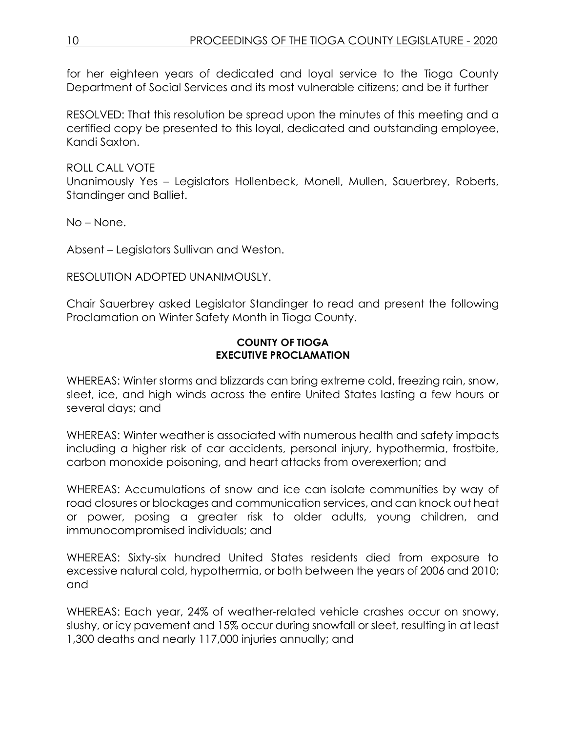for her eighteen years of dedicated and loyal service to the Tioga County Department of Social Services and its most vulnerable citizens; and be it further

RESOLVED: That this resolution be spread upon the minutes of this meeting and a certified copy be presented to this loyal, dedicated and outstanding employee, Kandi Saxton.

ROLL CALL VOTE

Unanimously Yes – Legislators Hollenbeck, Monell, Mullen, Sauerbrey, Roberts, Standinger and Balliet.

No – None.

Absent – Legislators Sullivan and Weston.

RESOLUTION ADOPTED UNANIMOUSLY.

Chair Sauerbrey asked Legislator Standinger to read and present the following Proclamation on Winter Safety Month in Tioga County.

#### **COUNTY OF TIOGA EXECUTIVE PROCLAMATION**

WHEREAS: Winter storms and blizzards can bring extreme cold, freezing rain, snow, sleet, ice, and high winds across the entire United States lasting a few hours or several days; and

WHEREAS: Winter weather is associated with numerous health and safety impacts including a higher risk of car accidents, personal injury, hypothermia, frostbite, carbon monoxide poisoning, and heart attacks from overexertion; and

WHEREAS: Accumulations of snow and ice can isolate communities by way of road closures or blockages and communication services, and can knock out heat or power, posing a greater risk to older adults, young children, and immunocompromised individuals; and

WHEREAS: Sixty-six hundred United States residents died from exposure to excessive natural cold, hypothermia, or both between the years of 2006 and 2010; and

WHEREAS: Each year, 24% of weather-related vehicle crashes occur on snowy, slushy, or icy pavement and 15% occur during snowfall or sleet, resulting in at least 1,300 deaths and nearly 117,000 injuries annually; and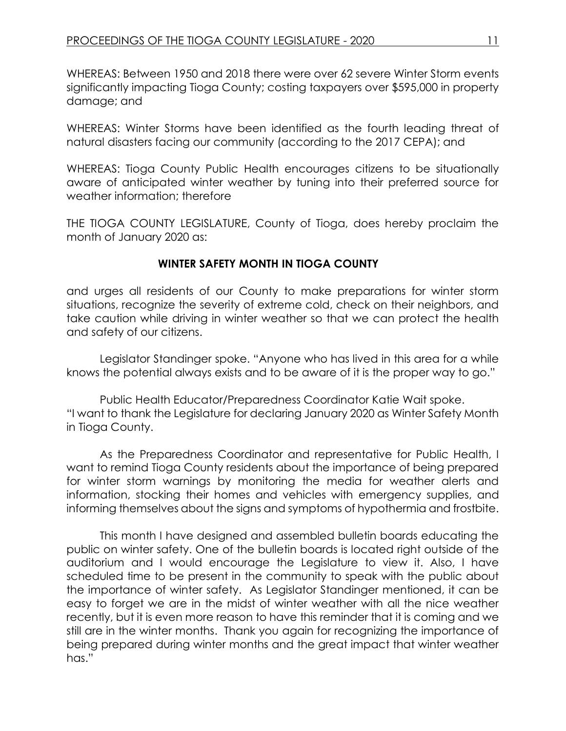WHEREAS: Between 1950 and 2018 there were over 62 severe Winter Storm events significantly impacting Tioga County; costing taxpayers over \$595,000 in property damage; and

WHEREAS: Winter Storms have been identified as the fourth leading threat of natural disasters facing our community (according to the 2017 CEPA); and

WHEREAS: Tioga County Public Health encourages citizens to be situationally aware of anticipated winter weather by tuning into their preferred source for weather information; therefore

THE TIOGA COUNTY LEGISLATURE, County of Tioga, does hereby proclaim the month of January 2020 as:

## **WINTER SAFETY MONTH IN TIOGA COUNTY**

and urges all residents of our County to make preparations for winter storm situations, recognize the severity of extreme cold, check on their neighbors, and take caution while driving in winter weather so that we can protect the health and safety of our citizens.

Legislator Standinger spoke. "Anyone who has lived in this area for a while knows the potential always exists and to be aware of it is the proper way to go."

Public Health Educator/Preparedness Coordinator Katie Wait spoke. "I want to thank the Legislature for declaring January 2020 as Winter Safety Month in Tioga County.

As the Preparedness Coordinator and representative for Public Health, I want to remind Tioga County residents about the importance of being prepared for winter storm warnings by monitoring the media for weather alerts and information, stocking their homes and vehicles with emergency supplies, and informing themselves about the signs and symptoms of hypothermia and frostbite.

This month I have designed and assembled bulletin boards educating the public on winter safety. One of the bulletin boards is located right outside of the auditorium and I would encourage the Legislature to view it. Also, I have scheduled time to be present in the community to speak with the public about the importance of winter safety. As Legislator Standinger mentioned, it can be easy to forget we are in the midst of winter weather with all the nice weather recently, but it is even more reason to have this reminder that it is coming and we still are in the winter months. Thank you again for recognizing the importance of being prepared during winter months and the great impact that winter weather has."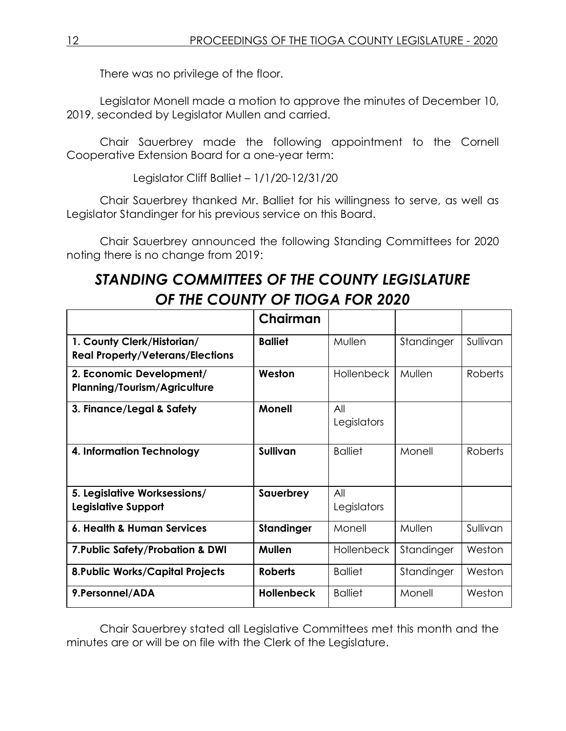There was no privilege of the floor.

Legislator Monell made a motion to approve the minutes of December 10, 2019, seconded by Legislator Mullen and carried.

Chair Sauerbrey made the following appointment to the Cornell Cooperative Extension Board for a one-year term:

Legislator Cliff Balliet – 1/1/20-12/31/20

Chair Sauerbrey thanked Mr. Balliet for his willingness to serve, as well as Legislator Standinger for his previous service on this Board.

Chair Sauerbrey announced the following Standing Committees for 2020 noting there is no change from 2019:

# *STANDING COMMITTEES OF THE COUNTY LEGISLATURE OF THE COUNTY OF TIOGA FOR 2020*

|                                                                       | Chairman          |                    |            |                |
|-----------------------------------------------------------------------|-------------------|--------------------|------------|----------------|
| 1. County Clerk/Historian/<br><b>Real Property/Veterans/Elections</b> | <b>Balliet</b>    | Mullen             | Standinger | Sullivan       |
| 2. Economic Development/<br><b>Planning/Tourism/Agriculture</b>       | Weston            | <b>Hollenbeck</b>  | Mullen     | <b>Roberts</b> |
| 3. Finance/Legal & Safety                                             | <b>Monell</b>     | All<br>Legislators |            |                |
| 4. Information Technology                                             | <b>Sullivan</b>   | <b>Balliet</b>     | Monell     | <b>Roberts</b> |
| 5. Legislative Worksessions/<br><b>Legislative Support</b>            | Sauerbrey         | All<br>Legislators |            |                |
| 6. Health & Human Services                                            | Standinger        | Monell             | Mullen     | Sullivan       |
| 7. Public Safety/Probation & DWI                                      | <b>Mullen</b>     | <b>Hollenbeck</b>  | Standinger | Weston         |
| <b>8. Public Works/Capital Projects</b>                               | <b>Roberts</b>    | <b>Balliet</b>     | Standinger | Weston         |
| 9.Personnel/ADA                                                       | <b>Hollenbeck</b> | <b>Balliet</b>     | Monell     | Weston         |

Chair Sauerbrey stated all Legislative Committees met this month and the minutes are or will be on file with the Clerk of the Legislature.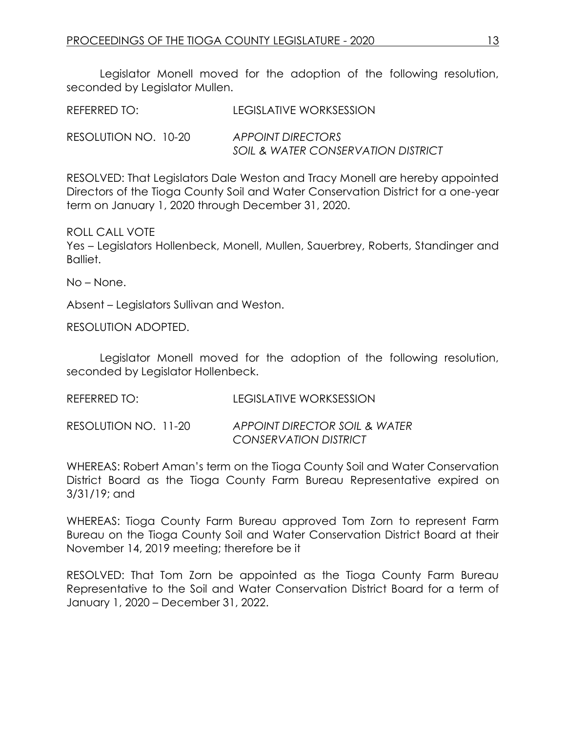Legislator Monell moved for the adoption of the following resolution, seconded by Legislator Mullen.

| REFERRED TO:         | LEGISLATIVE WORKSESSION                                 |
|----------------------|---------------------------------------------------------|
| RESOLUTION NO. 10-20 | APPOINT DIRECTORS<br>SOIL & WATER CONSERVATION DISTRICT |

RESOLVED: That Legislators Dale Weston and Tracy Monell are hereby appointed Directors of the Tioga County Soil and Water Conservation District for a one-year term on January 1, 2020 through December 31, 2020.

ROLL CALL VOTE

Yes – Legislators Hollenbeck, Monell, Mullen, Sauerbrey, Roberts, Standinger and Balliet.

No – None.

Absent – Legislators Sullivan and Weston.

RESOLUTION ADOPTED.

Legislator Monell moved for the adoption of the following resolution, seconded by Legislator Hollenbeck.

REFERRED TO: LEGISLATIVE WORKSESSION

RESOLUTION NO. 11-20 *APPOINT DIRECTOR SOIL & WATER CONSERVATION DISTRICT*

WHEREAS: Robert Aman's term on the Tioga County Soil and Water Conservation District Board as the Tioga County Farm Bureau Representative expired on 3/31/19; and

WHEREAS: Tioga County Farm Bureau approved Tom Zorn to represent Farm Bureau on the Tioga County Soil and Water Conservation District Board at their November 14, 2019 meeting; therefore be it

RESOLVED: That Tom Zorn be appointed as the Tioga County Farm Bureau Representative to the Soil and Water Conservation District Board for a term of January 1, 2020 – December 31, 2022.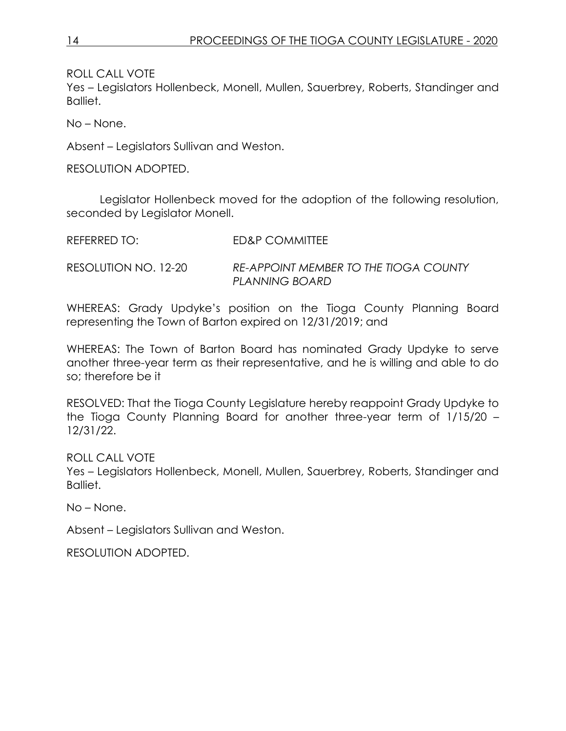Yes – Legislators Hollenbeck, Monell, Mullen, Sauerbrey, Roberts, Standinger and Balliet.

No – None.

Absent – Legislators Sullivan and Weston.

RESOLUTION ADOPTED.

Legislator Hollenbeck moved for the adoption of the following resolution, seconded by Legislator Monell.

| REFERRED TO:         | ED&P COMMITTEE                                                 |
|----------------------|----------------------------------------------------------------|
| RESOLUTION NO. 12-20 | <b>RE-APPOINT MEMBER TO THE TIOGA COUNTY</b><br>PLANNING BOARD |

WHEREAS: Grady Updyke's position on the Tioga County Planning Board representing the Town of Barton expired on 12/31/2019; and

WHEREAS: The Town of Barton Board has nominated Grady Updyke to serve another three-year term as their representative, and he is willing and able to do so; therefore be it

RESOLVED: That the Tioga County Legislature hereby reappoint Grady Updyke to the Tioga County Planning Board for another three-year term of 1/15/20 – 12/31/22.

ROLL CALL VOTE

Yes – Legislators Hollenbeck, Monell, Mullen, Sauerbrey, Roberts, Standinger and Balliet.

No – None.

Absent – Legislators Sullivan and Weston.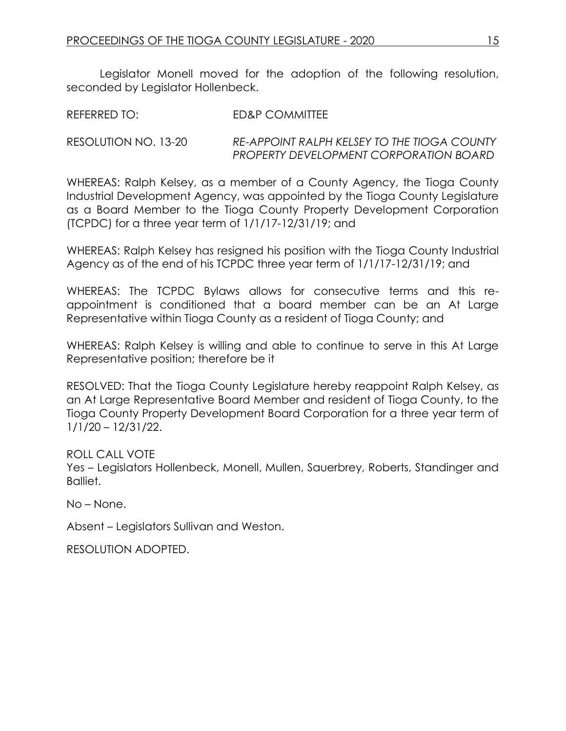Legislator Monell moved for the adoption of the following resolution, seconded by Legislator Hollenbeck.

REFERRED TO: ED&P COMMITTEE

RESOLUTION NO. 13-20 *RE-APPOINT RALPH KELSEY TO THE TIOGA COUNTY PROPERTY DEVELOPMENT CORPORATION BOARD*

WHEREAS: Ralph Kelsey, as a member of a County Agency, the Tioga County Industrial Development Agency, was appointed by the Tioga County Legislature as a Board Member to the Tioga County Property Development Corporation (TCPDC) for a three year term of 1/1/17-12/31/19; and

WHEREAS: Ralph Kelsey has resigned his position with the Tioga County Industrial Agency as of the end of his TCPDC three year term of 1/1/17-12/31/19; and

WHEREAS: The TCPDC Bylaws allows for consecutive terms and this reappointment is conditioned that a board member can be an At Large Representative within Tioga County as a resident of Tioga County; and

WHEREAS: Ralph Kelsey is willing and able to continue to serve in this At Large Representative position; therefore be it

RESOLVED: That the Tioga County Legislature hereby reappoint Ralph Kelsey, as an At Large Representative Board Member and resident of Tioga County, to the Tioga County Property Development Board Corporation for a three year term of 1/1/20 – 12/31/22.

ROLL CALL VOTE Yes – Legislators Hollenbeck, Monell, Mullen, Sauerbrey, Roberts, Standinger and Balliet.

No – None.

Absent – Legislators Sullivan and Weston.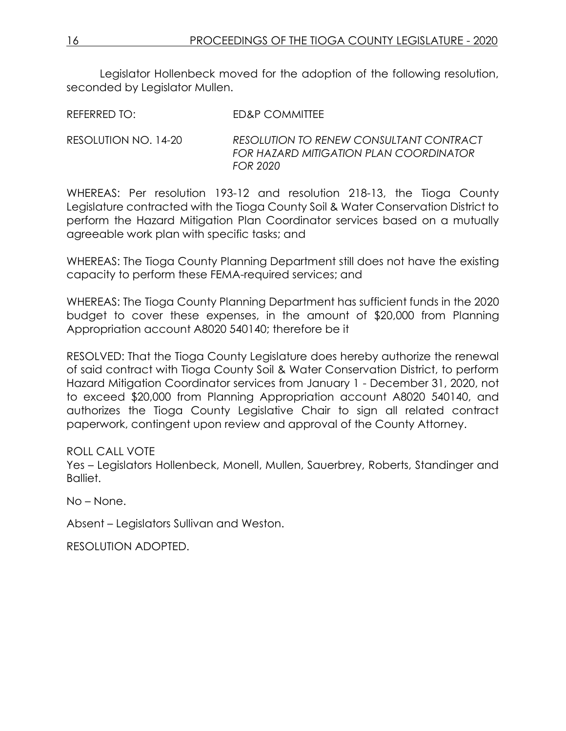Legislator Hollenbeck moved for the adoption of the following resolution, seconded by Legislator Mullen.

REFERRED TO: ED&P COMMITTEE

RESOLUTION NO. 14-20 *RESOLUTION TO RENEW CONSULTANT CONTRACT FOR HAZARD MITIGATION PLAN COORDINATOR FOR 2020*

WHEREAS: Per resolution 193-12 and resolution 218-13, the Tioga County Legislature contracted with the Tioga County Soil & Water Conservation District to perform the Hazard Mitigation Plan Coordinator services based on a mutually agreeable work plan with specific tasks; and

WHEREAS: The Tioga County Planning Department still does not have the existing capacity to perform these FEMA-required services; and

WHEREAS: The Tioga County Planning Department has sufficient funds in the 2020 budget to cover these expenses, in the amount of \$20,000 from Planning Appropriation account A8020 540140; therefore be it

RESOLVED: That the Tioga County Legislature does hereby authorize the renewal of said contract with Tioga County Soil & Water Conservation District, to perform Hazard Mitigation Coordinator services from January 1 - December 31, 2020, not to exceed \$20,000 from Planning Appropriation account A8020 540140, and authorizes the Tioga County Legislative Chair to sign all related contract paperwork, contingent upon review and approval of the County Attorney.

ROLL CALL VOTE

Yes – Legislators Hollenbeck, Monell, Mullen, Sauerbrey, Roberts, Standinger and Balliet.

No – None.

Absent – Legislators Sullivan and Weston.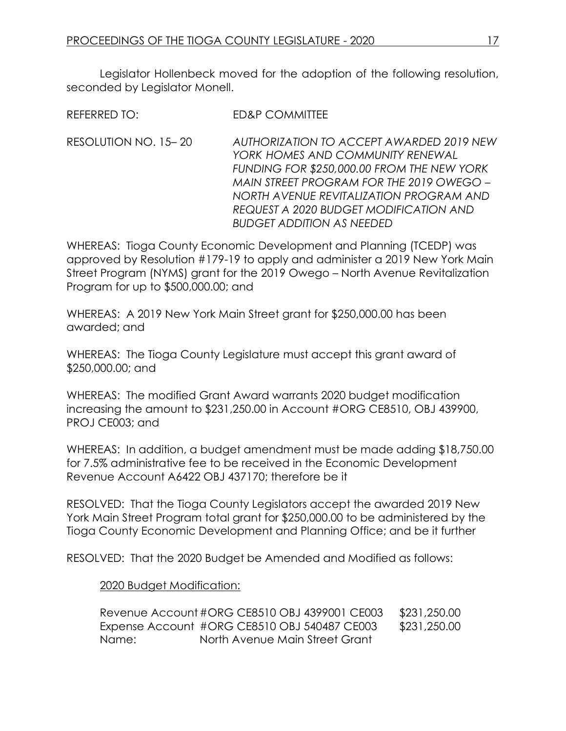Legislator Hollenbeck moved for the adoption of the following resolution, seconded by Legislator Monell.

REFERRED TO: ED&P COMMITTEE

RESOLUTION NO. 15– 20 *AUTHORIZATION TO ACCEPT AWARDED 2019 NEW YORK HOMES AND COMMUNITY RENEWAL FUNDING FOR \$250,000.00 FROM THE NEW YORK MAIN STREET PROGRAM FOR THE 2019 OWEGO – NORTH AVENUE REVITALIZATION PROGRAM AND REQUEST A 2020 BUDGET MODIFICATION AND BUDGET ADDITION AS NEEDED*

WHEREAS: Tioga County Economic Development and Planning (TCEDP) was approved by Resolution #179-19 to apply and administer a 2019 New York Main Street Program (NYMS) grant for the 2019 Owego – North Avenue Revitalization Program for up to \$500,000.00; and

WHEREAS: A 2019 New York Main Street grant for \$250,000.00 has been awarded; and

WHEREAS: The Tioga County Legislature must accept this grant award of \$250,000.00; and

WHEREAS: The modified Grant Award warrants 2020 budget modification increasing the amount to \$231,250.00 in Account #ORG CE8510, OBJ 439900, PROJ CE003; and

WHEREAS: In addition, a budget amendment must be made adding \$18,750.00 for 7.5% administrative fee to be received in the Economic Development Revenue Account A6422 OBJ 437170; therefore be it

RESOLVED: That the Tioga County Legislators accept the awarded 2019 New York Main Street Program total grant for \$250,000.00 to be administered by the Tioga County Economic Development and Planning Office; and be it further

RESOLVED: That the 2020 Budget be Amended and Modified as follows:

#### 2020 Budget Modification:

Revenue Account #ORG CE8510 OBJ 4399001 CE003 \$231,250.00 Expense Account #ORG CE8510 OBJ 540487 CE003 \$231,250.00 Name: North Avenue Main Street Grant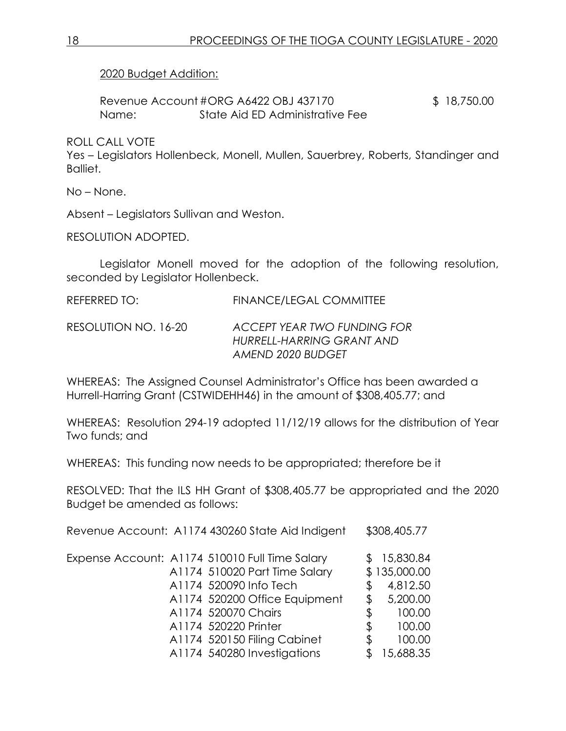2020 Budget Addition:

Revenue Account #ORG A6422 OBJ 437170 \$ 18,750.00 Name: State Aid ED Administrative Fee

ROLL CALL VOTE

Yes – Legislators Hollenbeck, Monell, Mullen, Sauerbrey, Roberts, Standinger and Balliet.

No – None.

Absent – Legislators Sullivan and Weston.

RESOLUTION ADOPTED.

Legislator Monell moved for the adoption of the following resolution, seconded by Legislator Hollenbeck.

REFERRED TO: FINANCE/LEGAL COMMITTEE

RESOLUTION NO. 16-20 *ACCEPT YEAR TWO FUNDING FOR HURRELL-HARRING GRANT AND AMEND 2020 BUDGET*

WHEREAS: The Assigned Counsel Administrator's Office has been awarded a Hurrell-Harring Grant (CSTWIDEHH46) in the amount of \$308,405.77; and

WHEREAS: Resolution 294-19 adopted 11/12/19 allows for the distribution of Year Two funds; and

WHEREAS: This funding now needs to be appropriated; therefore be it

RESOLVED: That the ILS HH Grant of \$308,405.77 be appropriated and the 2020 Budget be amended as follows:

| Revenue Account: A1174 430260 State Aid Indigent | \$308,405.77   |
|--------------------------------------------------|----------------|
| Expense Account: A1174 510010 Full Time Salary   | 15,830.84      |
| A1174 510020 Part Time Salary                    | \$135,000.00   |
| A1174 520090 Info Tech                           | \$<br>4,812.50 |
| A1174 520200 Office Equipment                    | \$<br>5,200.00 |
| A1174 520070 Chairs                              | \$<br>100.00   |
| A1174 520220 Printer                             | \$<br>100.00   |
| A1174 520150 Filing Cabinet                      | \$<br>100.00   |
| A1174 540280 Investigations                      | 15,688.35      |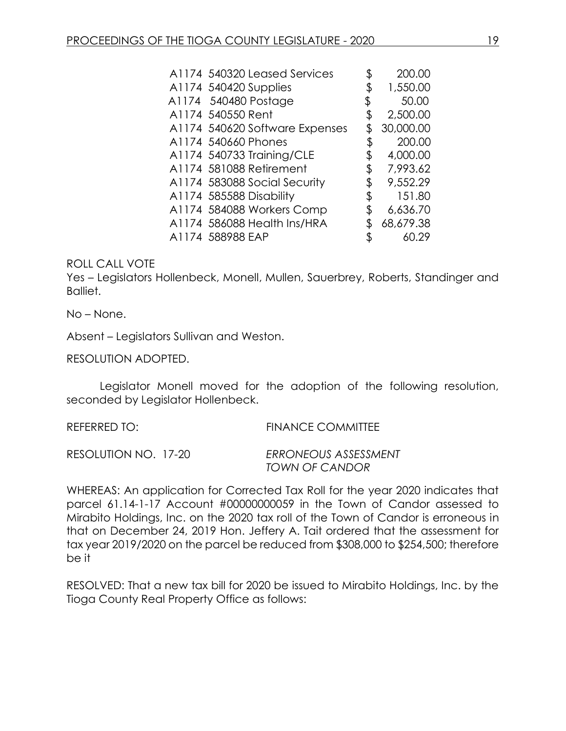| A1174 540320 Leased Services   | \$ | 200.00    |
|--------------------------------|----|-----------|
| A1174 540420 Supplies          |    | 1,550.00  |
| A1174 540480 Postage           | \$ | 50.00     |
| A1174 540550 Rent              | \$ | 2,500.00  |
| A1174 540620 Software Expenses |    | 30,000.00 |
| A1174 540660 Phones            | Φ  | 200.00    |
| A1174 540733 Training/CLE      |    | 4,000.00  |
| A1174 581088 Retirement        | \$ | 7,993.62  |
| A1174 583088 Social Security   |    | 9,552.29  |
| A1174 585588 Disability        | \$ | 151.80    |
| A1174 584088 Workers Comp      | \$ | 6,636.70  |
| A1174 586088 Health Ins/HRA    |    | 68,679.38 |
| A1174 588988 EAP               | \$ | 60.29     |

Yes – Legislators Hollenbeck, Monell, Mullen, Sauerbrey, Roberts, Standinger and Balliet.

No – None.

Absent – Legislators Sullivan and Weston.

RESOLUTION ADOPTED.

Legislator Monell moved for the adoption of the following resolution, seconded by Legislator Hollenbeck.

REFERRED TO: FINANCE COMMITTEE

RESOLUTION NO. 17-20 *ERRONEOUS ASSESSMENT TOWN OF CANDOR*

WHEREAS: An application for Corrected Tax Roll for the year 2020 indicates that parcel 61.14-1-17 Account #00000000059 in the Town of Candor assessed to Mirabito Holdings, Inc. on the 2020 tax roll of the Town of Candor is erroneous in that on December 24, 2019 Hon. Jeffery A. Tait ordered that the assessment for tax year 2019/2020 on the parcel be reduced from \$308,000 to \$254,500; therefore be it

RESOLVED: That a new tax bill for 2020 be issued to Mirabito Holdings, Inc. by the Tioga County Real Property Office as follows: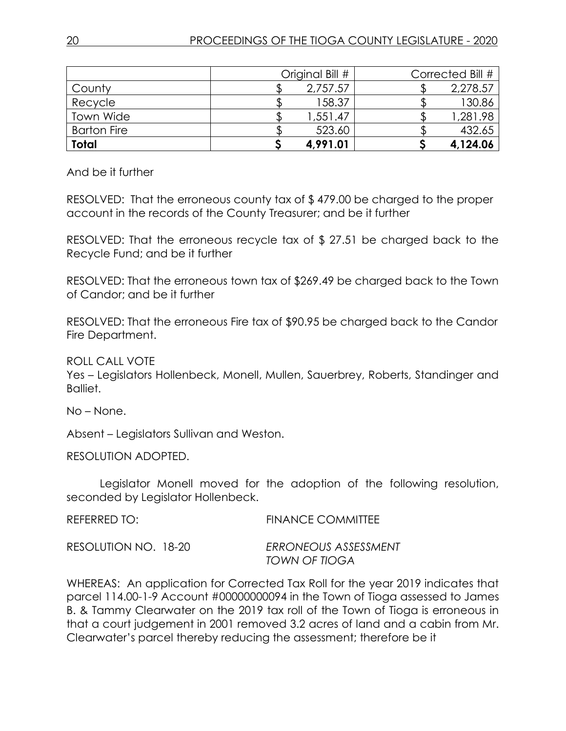| County             | Original Bill #<br>2,757.57 | Corrected Bill #<br>2,278.57 |
|--------------------|-----------------------------|------------------------------|
| Recycle            | 158.37                      | 130.86                       |
| Town Wide          | 1,551.47                    | 1,281.98                     |
| <b>Barton Fire</b> | 523.60                      | 432.65                       |
| <b>Total</b>       | 4,991.01                    | 4,124.06                     |

And be it further

RESOLVED: That the erroneous county tax of \$ 479.00 be charged to the proper account in the records of the County Treasurer; and be it further

RESOLVED: That the erroneous recycle tax of \$ 27.51 be charged back to the Recycle Fund; and be it further

RESOLVED: That the erroneous town tax of \$269.49 be charged back to the Town of Candor; and be it further

RESOLVED: That the erroneous Fire tax of \$90.95 be charged back to the Candor Fire Department.

ROLL CALL VOTE

Yes – Legislators Hollenbeck, Monell, Mullen, Sauerbrey, Roberts, Standinger and Balliet.

No – None.

Absent – Legislators Sullivan and Weston.

RESOLUTION ADOPTED.

Legislator Monell moved for the adoption of the following resolution, seconded by Legislator Hollenbeck.

REFERRED TO: FINANCE COMMITTEE

RESOLUTION NO. 18-20 *ERRONEOUS ASSESSMENT TOWN OF TIOGA*

WHEREAS: An application for Corrected Tax Roll for the year 2019 indicates that parcel 114.00-1-9 Account #00000000094 in the Town of Tioga assessed to James B. & Tammy Clearwater on the 2019 tax roll of the Town of Tioga is erroneous in that a court judgement in 2001 removed 3.2 acres of land and a cabin from Mr. Clearwater's parcel thereby reducing the assessment; therefore be it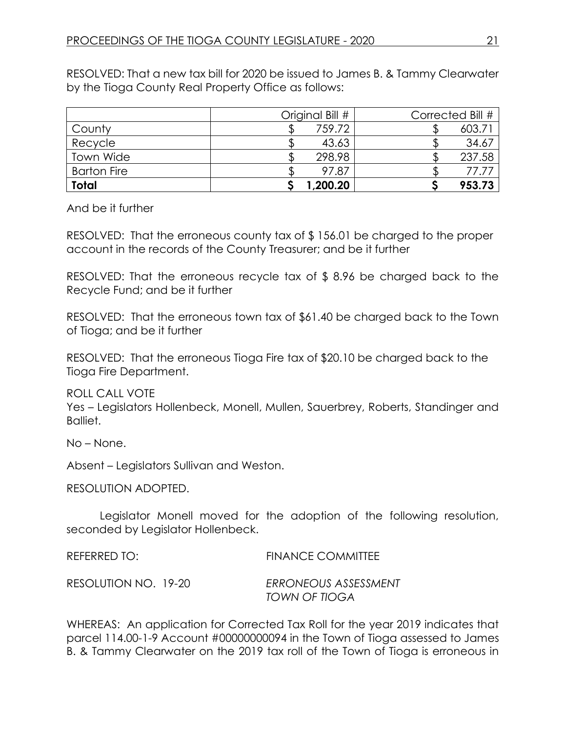RESOLVED: That a new tax bill for 2020 be issued to James B. & Tammy Clearwater by the Tioga County Real Property Office as follows:

|                    | Original Bill # | Corrected Bill # |
|--------------------|-----------------|------------------|
| County             | 759.72          | 603.7            |
| Recycle            | 43.63           | 34.67            |
| Town Wide          | 298.98          | 237.58           |
| <b>Barton Fire</b> | 97.87           |                  |
| <b>Total</b>       | 1,200.20        | 953.73           |

And be it further

RESOLVED: That the erroneous county tax of \$ 156.01 be charged to the proper account in the records of the County Treasurer; and be it further

RESOLVED: That the erroneous recycle tax of \$ 8.96 be charged back to the Recycle Fund; and be it further

RESOLVED: That the erroneous town tax of \$61.40 be charged back to the Town of Tioga; and be it further

RESOLVED: That the erroneous Tioga Fire tax of \$20.10 be charged back to the Tioga Fire Department.

ROLL CALL VOTE

Yes – Legislators Hollenbeck, Monell, Mullen, Sauerbrey, Roberts, Standinger and Balliet.

No – None.

Absent – Legislators Sullivan and Weston.

RESOLUTION ADOPTED.

Legislator Monell moved for the adoption of the following resolution, seconded by Legislator Hollenbeck.

REFERRED TO: FINANCE COMMITTEE RESOLUTION NO. 19-20 *ERRONEOUS ASSESSMENT TOWN OF TIOGA*

WHEREAS: An application for Corrected Tax Roll for the year 2019 indicates that parcel 114.00-1-9 Account #00000000094 in the Town of Tioga assessed to James B. & Tammy Clearwater on the 2019 tax roll of the Town of Tioga is erroneous in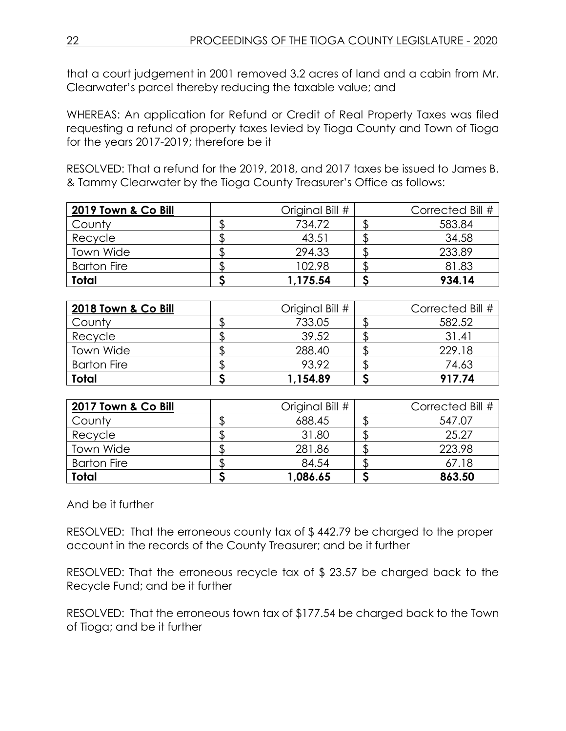that a court judgement in 2001 removed 3.2 acres of land and a cabin from Mr. Clearwater's parcel thereby reducing the taxable value; and

WHEREAS: An application for Refund or Credit of Real Property Taxes was filed requesting a refund of property taxes levied by Tioga County and Town of Tioga for the years 2017-2019; therefore be it

RESOLVED: That a refund for the 2019, 2018, and 2017 taxes be issued to James B. & Tammy Clearwater by the Tioga County Treasurer's Office as follows:

| 2019 Town & Co Bill | Original Bill # | Corrected Bill # |
|---------------------|-----------------|------------------|
| County              | 734.72          | 583.84           |
| Recycle             | 43.51           | 34.58            |
| Town Wide           | 294.33          | 233.89           |
| <b>Barton Fire</b>  | 102.98          | 81.83            |
| Total               | 1,175.54        | 934.14           |

| 2018 Town & Co Bill | Original Bill # | Corrected Bill # |
|---------------------|-----------------|------------------|
| County              | 733.05          | 582.52           |
| Recycle             | 39.52           | 31.41            |
| Town Wide           | 288.40          | 229.18           |
| <b>Barton Fire</b>  | 93.92           | 74.63            |
| <b>Total</b>        | 1,154.89        | 917.74           |

| 2017 Town & Co Bill | Original Bill # | Corrected Bill # |
|---------------------|-----------------|------------------|
| County              | 688.45          | 547.07           |
| Recycle             | 31.80           | 25.27            |
| Town Wide           | 281.86          | 223.98           |
| <b>Barton Fire</b>  | 84.54           | 67.18            |
| <b>Total</b>        | 1,086.65        | 863.50           |

And be it further

RESOLVED: That the erroneous county tax of \$ 442.79 be charged to the proper account in the records of the County Treasurer; and be it further

RESOLVED: That the erroneous recycle tax of \$ 23.57 be charged back to the Recycle Fund; and be it further

RESOLVED: That the erroneous town tax of \$177.54 be charged back to the Town of Tioga; and be it further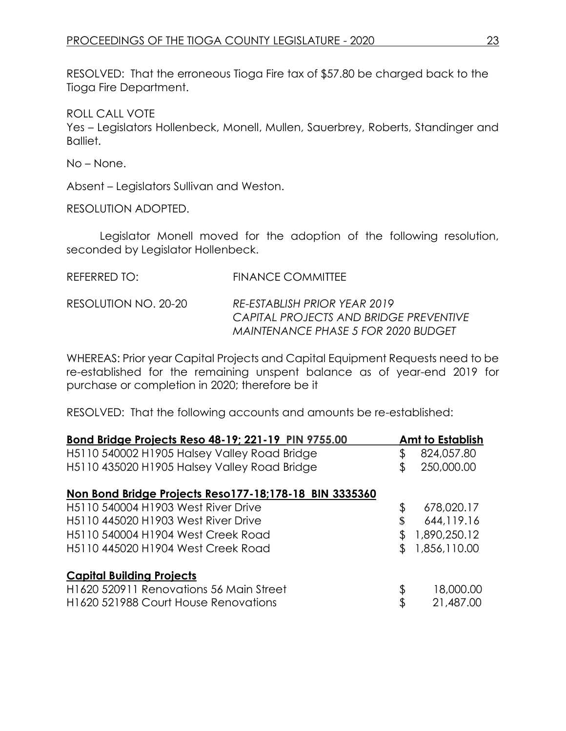RESOLVED: That the erroneous Tioga Fire tax of \$57.80 be charged back to the Tioga Fire Department.

ROLL CALL VOTE

Yes – Legislators Hollenbeck, Monell, Mullen, Sauerbrey, Roberts, Standinger and Balliet.

No – None.

Absent – Legislators Sullivan and Weston.

RESOLUTION ADOPTED.

Legislator Monell moved for the adoption of the following resolution, seconded by Legislator Hollenbeck.

| REFERRED TO:         | FINANCE COMMITTEE                                                                                             |
|----------------------|---------------------------------------------------------------------------------------------------------------|
| RESOLUTION NO. 20-20 | RE-ESTABLISH PRIOR YEAR 2019<br>CAPITAL PROJECTS AND BRIDGE PREVENTIVE<br>MAINTENANCE PHASE 5 FOR 2020 BUDGET |

WHEREAS: Prior year Capital Projects and Capital Equipment Requests need to be re-established for the remaining unspent balance as of year-end 2019 for purchase or completion in 2020; therefore be it

RESOLVED: That the following accounts and amounts be re-established:

| Bond Bridge Projects Reso 48-19; 221-19 PIN 9755.00          |    | Amt to Establish |
|--------------------------------------------------------------|----|------------------|
| H5110 540002 H1905 Halsey Valley Road Bridge                 | \$ | 824,057.80       |
| H5110 435020 H1905 Halsey Valley Road Bridge                 | S  | 250,000.00       |
| Non Bond Bridge Projects Reso177-18;178-18 BIN 3335360       |    |                  |
| H <sub>5</sub> 110 540004 H <sub>1903</sub> West River Drive | \$ | 678,020.17       |
| H5110 445020 H1903 West River Drive                          | \$ | 644, 119.16      |
| H5110 540004 H1904 West Creek Road                           |    | 1,890,250.12     |
| H5110 445020 H1904 West Creek Road                           |    | 1,856,110.00     |
| <b>Capital Building Projects</b>                             |    |                  |
| H1620 520911 Renovations 56 Main Street                      | \$ | 18,000.00        |
| H1620 521988 Court House Renovations                         | \$ | 21,487.00        |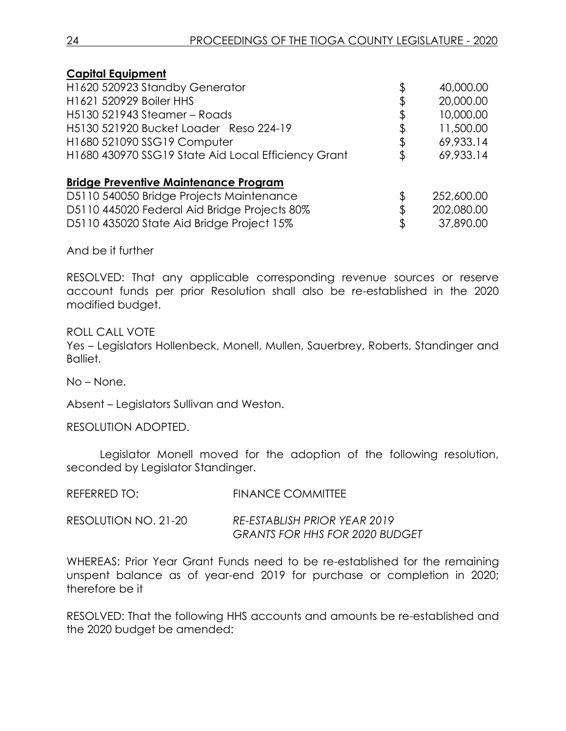| <b>Capital Equipment</b>                            |    |            |
|-----------------------------------------------------|----|------------|
| H1620 520923 Standby Generator                      | \$ | 40,000.00  |
| H1621 520929 Boiler HHS                             |    | 20,000.00  |
| H5130 521943 Steamer - Roads                        |    | 10,000.00  |
| H5130 521920 Bucket Loader Reso 224-19              |    | 11,500.00  |
| H1680 521090 SSG19 Computer                         | \$ | 69,933.14  |
| H1680 430970 SSG19 State Aid Local Efficiency Grant | S  | 69,933.14  |
| <b>Bridge Preventive Maintenance Program</b>        |    |            |
| D5110 540050 Bridge Projects Maintenance            |    | 252,600.00 |
| D5110 445020 Federal Aid Bridge Projects 80%        |    | 202,080.00 |
| D5110 435020 State Aid Bridge Project 15%           | ß. | 37,890.00  |
|                                                     |    |            |

And be it further

RESOLVED: That any applicable corresponding revenue sources or reserve account funds per prior Resolution shall also be re-established in the 2020 modified budget.

ROLL CALL VOTE Yes – Legislators Hollenbeck, Monell, Mullen, Sauerbrey, Roberts, Standinger and Balliet.

No – None.

Absent – Legislators Sullivan and Weston.

RESOLUTION ADOPTED.

Legislator Monell moved for the adoption of the following resolution, seconded by Legislator Standinger.

| REFERRED TO:         | <b>FINANCE COMMITTEE</b>              |
|----------------------|---------------------------------------|
| RESOLUTION NO. 21-20 | RE-ESTABLISH PRIOR YEAR 2019          |
|                      | <b>GRANTS FOR HHS FOR 2020 BUDGET</b> |

WHEREAS: Prior Year Grant Funds need to be re-established for the remaining unspent balance as of year-end 2019 for purchase or completion in 2020; therefore be it

RESOLVED: That the following HHS accounts and amounts be re-established and the 2020 budget be amended: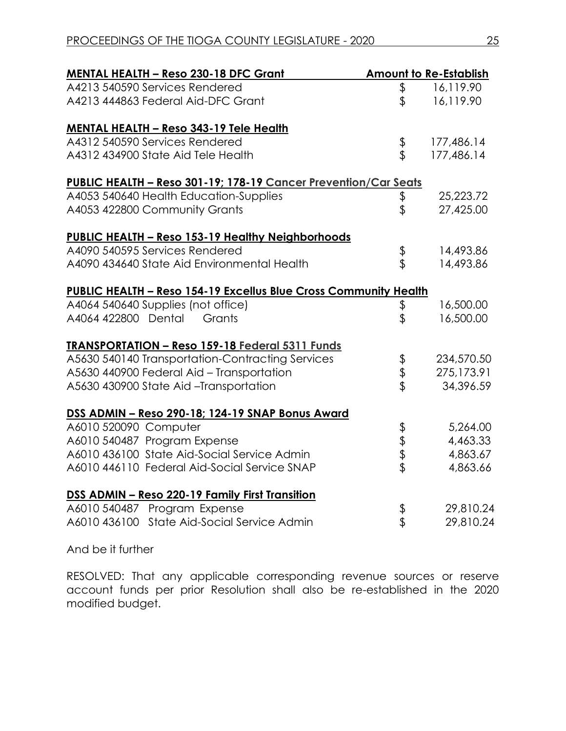| <b>MENTAL HEALTH - Reso 230-18 DFC Grant</b>                            |          | <b>Amount to Re-Establish</b> |
|-------------------------------------------------------------------------|----------|-------------------------------|
| A4213 540590 Services Rendered                                          | \$       | 16,119.90                     |
| A4213 444863 Federal Aid-DFC Grant                                      | \$       | 16,119.90                     |
| <b>MENTAL HEALTH - Reso 343-19 Tele Health</b>                          |          |                               |
| A4312 540590 Services Rendered                                          | \$<br>\$ | 177,486.14                    |
| A4312 434900 State Aid Tele Health                                      |          | 177,486.14                    |
| PUBLIC HEALTH - Reso 301-19; 178-19 Cancer Prevention/Car Seats         |          |                               |
| A4053 540640 Health Education-Supplies                                  | \$<br>\$ | 25,223.72                     |
| A4053 422800 Community Grants                                           |          | 27,425.00                     |
| PUBLIC HEALTH - Reso 153-19 Healthy Neighborhoods                       |          |                               |
| A4090 540595 Services Rendered                                          | \$\$     | 14,493.86                     |
| A4090 434640 State Aid Environmental Health                             |          | 14,493.86                     |
| <b>PUBLIC HEALTH - Reso 154-19 Excellus Blue Cross Community Health</b> |          |                               |
| A4064 540640 Supplies (not office)                                      | \$       | 16,500.00                     |
| A4064 422800 Dental<br>Grants                                           | \$       | 16,500.00                     |
| <b>TRANSPORTATION - Reso 159-18 Federal 5311 Funds</b>                  |          |                               |
| A5630 540140 Transportation-Contracting Services                        | \$<br>\$ | 234,570.50                    |
| A5630 440900 Federal Aid - Transportation                               |          | 275,173.91                    |
| A5630 430900 State Aid -Transportation                                  |          | 34,396.59                     |
| DSS ADMIN - Reso 290-18; 124-19 SNAP Bonus Award                        |          |                               |
| A6010 520090 Computer                                                   |          | 5,264.00                      |
| A6010 540487 Program Expense                                            |          | 4,463.33                      |
| A6010 436100 State Aid-Social Service Admin                             | マネマ      | 4,863.67                      |
| A6010 446110 Federal Aid-Social Service SNAP                            |          | 4,863.66                      |
| DSS ADMIN - Reso 220-19 Family First Transition                         |          |                               |
| A6010 540487 Program Expense                                            | \$<br>\$ | 29,810.24                     |
| A6010 436100 State Aid-Social Service Admin                             |          | 29,810.24                     |

And be it further

RESOLVED: That any applicable corresponding revenue sources or reserve account funds per prior Resolution shall also be re-established in the 2020 modified budget.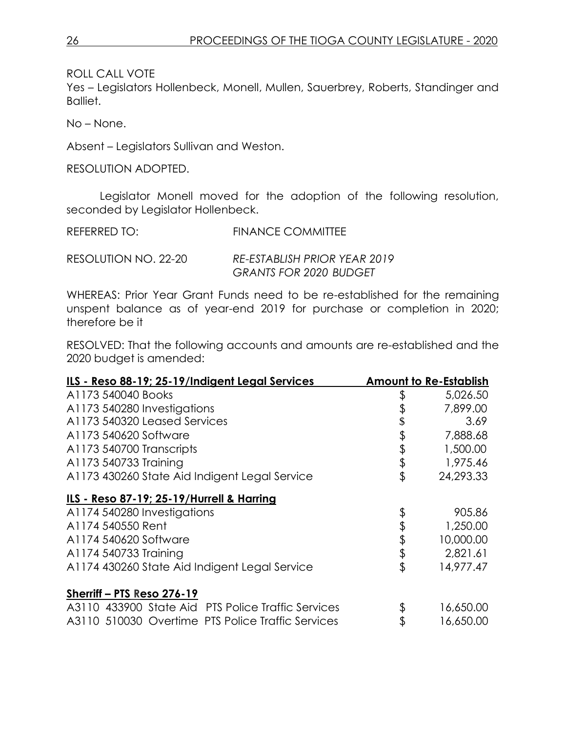Yes – Legislators Hollenbeck, Monell, Mullen, Sauerbrey, Roberts, Standinger and Balliet.

No – None.

Absent – Legislators Sullivan and Weston.

RESOLUTION ADOPTED.

Legislator Monell moved for the adoption of the following resolution, seconded by Legislator Hollenbeck.

REFERRED TO: FINANCE COMMITTEE

RESOLUTION NO. 22-20 *RE-ESTABLISH PRIOR YEAR 2019 GRANTS FOR 2020 BUDGET*

WHEREAS: Prior Year Grant Funds need to be re-established for the remaining unspent balance as of year-end 2019 for purchase or completion in 2020; therefore be it

RESOLVED: That the following accounts and amounts are re-established and the 2020 budget is amended:

| ILS - Reso 88-19; 25-19/Indigent Legal Services    | <b>Amount to Re-Establish</b> |
|----------------------------------------------------|-------------------------------|
| A <sub>1173</sub> 540040 Books                     | \$<br>5,026.50                |
| A1173 540280 Investigations                        | 7,899.00                      |
| A1173 540320 Leased Services                       | 3.69                          |
| A1173 540620 Software                              | \$<br>7,888.68                |
| A1173 540700 Transcripts                           | \$<br>1,500.00                |
| A1173 540733 Training                              | \$<br>1,975.46                |
| A1173 430260 State Aid Indigent Legal Service      | \$<br>24,293.33               |
| ILS - Reso 87-19; 25-19/Hurrell & Harring          |                               |
| A1174 540280 Investigations                        | \$<br>905.86                  |
| A1174 540550 Rent                                  | \$<br>1,250.00                |
| A1174 540620 Software                              | \$<br>10,000.00               |
| A1174 540733 Training                              | \$<br>2,821.61                |
| A1174 430260 State Aid Indigent Legal Service      | \$<br>14,977.47               |
| Sherriff - PTS Reso 276-19                         |                               |
| A3110 433900 State Aid PTS Police Traffic Services | \$<br>16,650.00               |
| A3110 510030 Overtime PTS Police Traffic Services  | 16,650.00                     |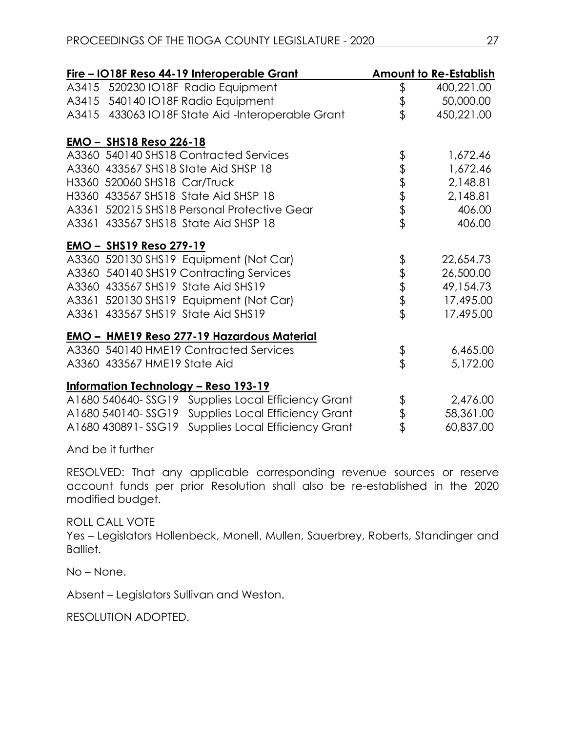|                                | <u>Fire – IO18F Reso 44-19 Interoperable Grant</u> |               | <b>Amount to Re-Establish</b> |
|--------------------------------|----------------------------------------------------|---------------|-------------------------------|
|                                | A3415 520230 IO18F Radio Equipment                 | \$            | 400,221.00                    |
|                                | A3415 540140 IO18F Radio Equipment                 | $\frac{4}{3}$ | 50,000.00                     |
|                                | A3415 433063 IO18F State Aid-Interoperable Grant   |               | 450,221.00                    |
| <u>EMO - SHS18 Reso 226-18</u> |                                                    |               |                               |
|                                | A3360 540140 SHS18 Contracted Services             |               | 1,672.46                      |
|                                | A3360 433567 SHS18 State Aid SHSP 18               | もまままま         | 1,672.46                      |
| H3360 520060 SHS18 Car/Truck   |                                                    |               | 2,148.81                      |
|                                | H3360 433567 SHS18 State Aid SHSP 18               |               | 2,148.81                      |
|                                | A3361 520215 SHS18 Personal Protective Gear        |               | 406.00                        |
|                                | A3361 433567 SHS18 State Aid SHSP 18               |               | 406.00                        |
| <u>EMO – SHS19 Reso 279-19</u> |                                                    |               |                               |
|                                | A3360 520130 SHS19 Equipment (Not Car)             |               | 22,654.73                     |
|                                | A3360 540140 SHS19 Contracting Services            | もままま          | 26,500.00                     |
|                                | A3360 433567 SHS19 State Aid SHS19                 |               | 49,154.73                     |
|                                | A3361 520130 SHS19 Equipment (Not Car)             |               | 17,495.00                     |
|                                | A3361 433567 SHS19 State Aid SHS19                 |               | 17,495.00                     |
|                                | <b>EMO - HME19 Reso 277-19 Hazardous Material</b>  |               |                               |
|                                | A3360 540140 HME19 Contracted Services             | \$            | 6,465.00                      |
| A3360 433567 HME19 State Aid   |                                                    |               | 5,172.00                      |
|                                | <u> Information Technology – Reso 193-19</u>       |               |                               |
|                                | A1680 540640-SSG19 Supplies Local Efficiency Grant |               | 2,476.00                      |
|                                | A1680 540140-SSG19 Supplies Local Efficiency Grant | \$<br>\$      | 58,361.00                     |
|                                | A1680 430891-SSG19 Supplies Local Efficiency Grant |               | 60,837.00                     |

And be it further

RESOLVED: That any applicable corresponding revenue sources or reserve account funds per prior Resolution shall also be re-established in the 2020 modified budget.

#### ROLL CALL VOTE

Yes – Legislators Hollenbeck, Monell, Mullen, Sauerbrey, Roberts, Standinger and Balliet.

No – None.

Absent – Legislators Sullivan and Weston.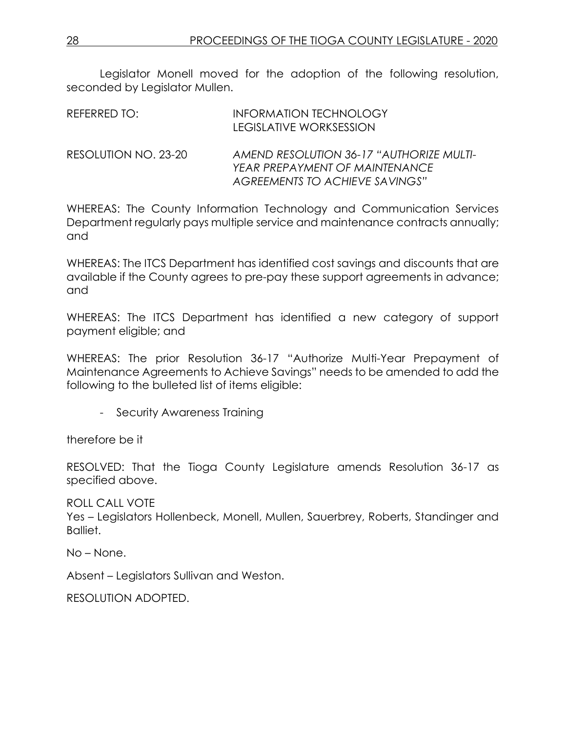Legislator Monell moved for the adoption of the following resolution, seconded by Legislator Mullen.

| REFERRED TO:         | <b>INFORMATION TECHNOLOGY</b><br>LEGISLATIVE WORKSESSION                                                     |
|----------------------|--------------------------------------------------------------------------------------------------------------|
| RESOLUTION NO. 23-20 | AMEND RESOLUTION 36-17 "AUTHORIZE MULTI-<br>YEAR PREPAYMENT OF MAINTENANCE<br>AGREEMENTS TO ACHIEVE SAVINGS" |

WHEREAS: The County Information Technology and Communication Services Department regularly pays multiple service and maintenance contracts annually; and

WHEREAS: The ITCS Department has identified cost savings and discounts that are available if the County agrees to pre-pay these support agreements in advance; and

WHEREAS: The ITCS Department has identified a new category of support payment eligible; and

WHEREAS: The prior Resolution 36-17 "Authorize Multi-Year Prepayment of Maintenance Agreements to Achieve Savings" needs to be amended to add the following to the bulleted list of items eligible:

- Security Awareness Training

therefore be it

RESOLVED: That the Tioga County Legislature amends Resolution 36-17 as specified above.

ROLL CALL VOTE

Yes – Legislators Hollenbeck, Monell, Mullen, Sauerbrey, Roberts, Standinger and Balliet.

No – None.

Absent – Legislators Sullivan and Weston.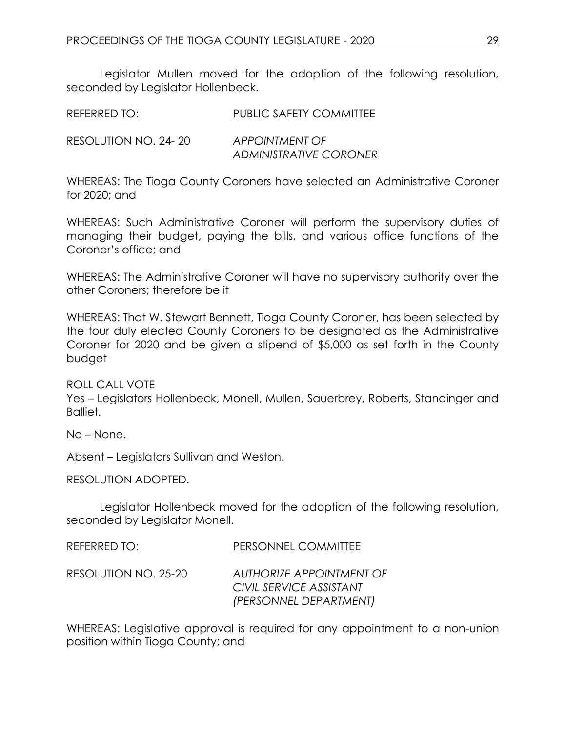Legislator Mullen moved for the adoption of the following resolution, seconded by Legislator Hollenbeck.

| REFERRED TO:         | PUBLIC SAFETY COMMITTEE       |
|----------------------|-------------------------------|
| RESOLUTION NO. 24-20 | APPOINTMENT OF                |
|                      | <b>ADMINISTRATIVE CORONER</b> |

WHEREAS: The Tioga County Coroners have selected an Administrative Coroner for 2020; and

WHEREAS: Such Administrative Coroner will perform the supervisory duties of managing their budget, paying the bills, and various office functions of the Coroner's office; and

WHEREAS: The Administrative Coroner will have no supervisory authority over the other Coroners; therefore be it

WHEREAS: That W. Stewart Bennett, Tioga County Coroner, has been selected by the four duly elected County Coroners to be designated as the Administrative Coroner for 2020 and be given a stipend of \$5,000 as set forth in the County budget

ROLL CALL VOTE

Yes – Legislators Hollenbeck, Monell, Mullen, Sauerbrey, Roberts, Standinger and Balliet.

No – None.

Absent – Legislators Sullivan and Weston.

RESOLUTION ADOPTED.

Legislator Hollenbeck moved for the adoption of the following resolution, seconded by Legislator Monell.

| REFERRED TO:         | PERSONNEL COMMITTEE                                                           |
|----------------------|-------------------------------------------------------------------------------|
| RESOLUTION NO. 25-20 | AUTHORIZE APPOINTMENT OF<br>CIVIL SERVICE ASSISTANT<br>(PERSONNEL DEPARTMENT) |

WHEREAS: Legislative approval is required for any appointment to a non-union position within Tioga County; and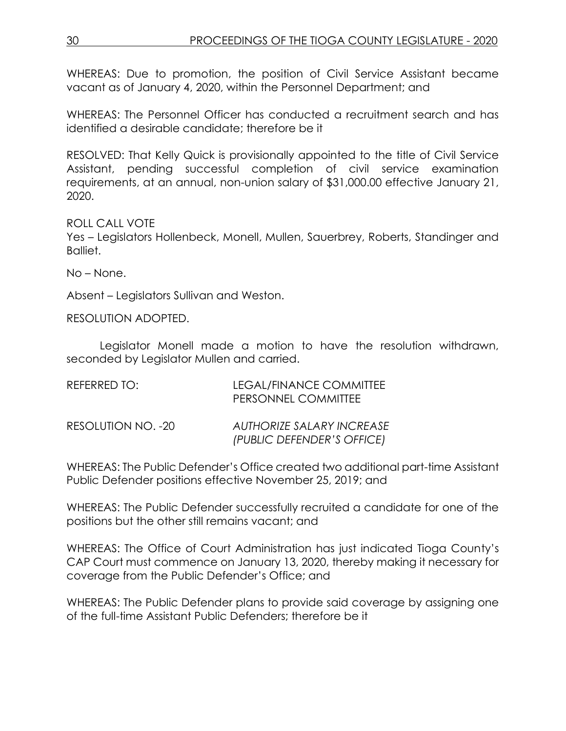WHEREAS: Due to promotion, the position of Civil Service Assistant became vacant as of January 4, 2020, within the Personnel Department; and

WHEREAS: The Personnel Officer has conducted a recruitment search and has identified a desirable candidate; therefore be it

RESOLVED: That Kelly Quick is provisionally appointed to the title of Civil Service Assistant, pending successful completion of civil service examination requirements, at an annual, non-union salary of \$31,000.00 effective January 21, 2020.

ROLL CALL VOTE

Yes – Legislators Hollenbeck, Monell, Mullen, Sauerbrey, Roberts, Standinger and Balliet.

No – None.

Absent – Legislators Sullivan and Weston.

RESOLUTION ADOPTED.

Legislator Monell made a motion to have the resolution withdrawn, seconded by Legislator Mullen and carried.

| REFERRED TO:       | LEGAL/FINANCE COMMITTEE<br>PERSONNEL COMMITTEE                 |
|--------------------|----------------------------------------------------------------|
| RESOLUTION NO. -20 | <b>AUTHORIZE SALARY INCREASE</b><br>(PUBLIC DEFENDER'S OFFICE) |

WHEREAS: The Public Defender's Office created two additional part-time Assistant Public Defender positions effective November 25, 2019; and

WHEREAS: The Public Defender successfully recruited a candidate for one of the positions but the other still remains vacant; and

WHEREAS: The Office of Court Administration has just indicated Tioga County's CAP Court must commence on January 13, 2020, thereby making it necessary for coverage from the Public Defender's Office; and

WHEREAS: The Public Defender plans to provide said coverage by assigning one of the full-time Assistant Public Defenders; therefore be it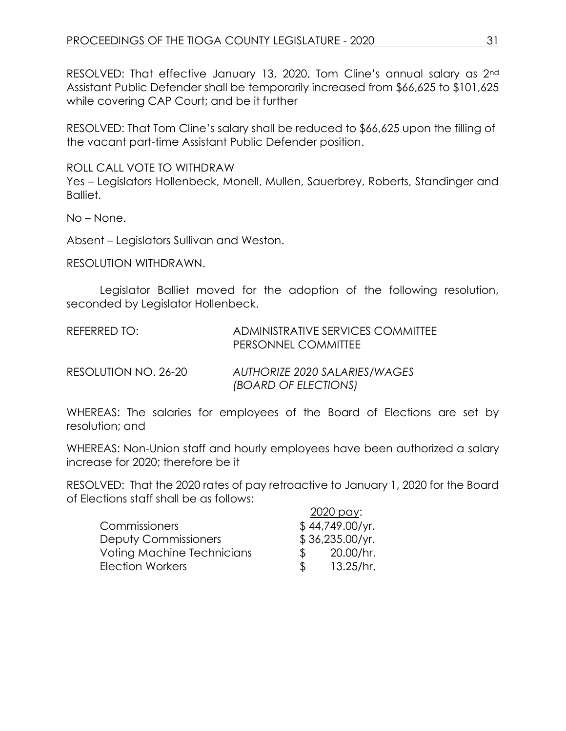RESOLVED: That effective January 13, 2020, Tom Cline's annual salary as 2nd Assistant Public Defender shall be temporarily increased from \$66,625 to \$101,625 while covering CAP Court; and be it further

RESOLVED: That Tom Cline's salary shall be reduced to \$66,625 upon the filling of the vacant part-time Assistant Public Defender position.

ROLL CALL VOTE TO WITHDRAW

Yes – Legislators Hollenbeck, Monell, Mullen, Sauerbrey, Roberts, Standinger and Balliet.

No – None.

Absent – Legislators Sullivan and Weston.

RESOLUTION WITHDRAWN.

Legislator Balliet moved for the adoption of the following resolution, seconded by Legislator Hollenbeck.

| REFERRED TO: | ADMINISTRATIVE SERVICES COMMITTEE |
|--------------|-----------------------------------|
|              | PERSONNEL COMMITTEE               |
|              |                                   |

RESOLUTION NO. 26-20 *AUTHORIZE 2020 SALARIES/WAGES (BOARD OF ELECTIONS)*

WHEREAS: The salaries for employees of the Board of Elections are set by resolution; and

WHEREAS: Non-Union staff and hourly employees have been authorized a salary increase for 2020; therefore be it

RESOLVED: That the 2020 rates of pay retroactive to January 1, 2020 for the Board of Elections staff shall be as follows:

|                                   |               | 2020 pay:       |
|-----------------------------------|---------------|-----------------|
| Commissioners                     |               | \$44,749.00/yr. |
| <b>Deputy Commissioners</b>       |               | \$36,235.00/yr. |
| <b>Voting Machine Technicians</b> | $\mathcal{S}$ | 20.00/hr.       |
| <b>Election Workers</b>           | $\mathbb S$   | 13.25/hr.       |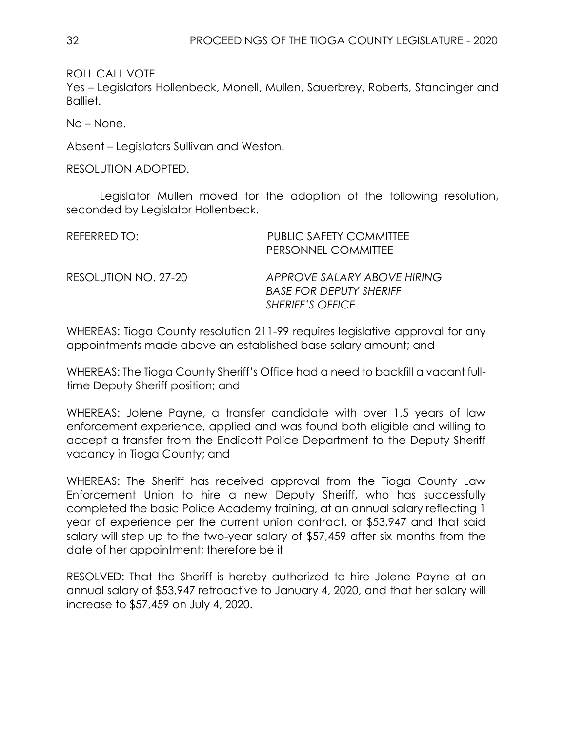Yes – Legislators Hollenbeck, Monell, Mullen, Sauerbrey, Roberts, Standinger and Balliet.

No – None.

Absent – Legislators Sullivan and Weston.

RESOLUTION ADOPTED.

Legislator Mullen moved for the adoption of the following resolution, seconded by Legislator Hollenbeck.

| REFERRED TO:         | <b>PUBLIC SAFETY COMMITTEE</b><br>PERSONNEL COMMITTEE                                    |
|----------------------|------------------------------------------------------------------------------------------|
| RESOLUTION NO. 27-20 | APPROVE SALARY ABOVE HIRING<br><b>BASE FOR DEPUTY SHERIFF</b><br><b>SHERIFF'S OFFICE</b> |

WHEREAS: Tioga County resolution 211-99 requires legislative approval for any appointments made above an established base salary amount; and

WHEREAS: The Tioga County Sheriff's Office had a need to backfill a vacant fulltime Deputy Sheriff position; and

WHEREAS: Jolene Payne, a transfer candidate with over 1.5 years of law enforcement experience, applied and was found both eligible and willing to accept a transfer from the Endicott Police Department to the Deputy Sheriff vacancy in Tioga County; and

WHEREAS: The Sheriff has received approval from the Tioga County Law Enforcement Union to hire a new Deputy Sheriff, who has successfully completed the basic Police Academy training, at an annual salary reflecting 1 year of experience per the current union contract, or \$53,947 and that said salary will step up to the two-year salary of \$57,459 after six months from the date of her appointment; therefore be it

RESOLVED: That the Sheriff is hereby authorized to hire Jolene Payne at an annual salary of \$53,947 retroactive to January 4, 2020, and that her salary will increase to \$57,459 on July 4, 2020.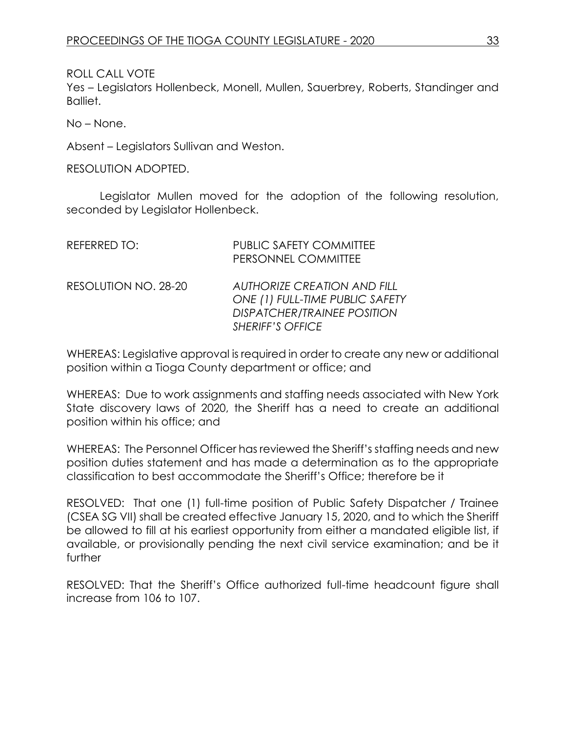Yes – Legislators Hollenbeck, Monell, Mullen, Sauerbrey, Roberts, Standinger and Balliet.

No – None.

Absent – Legislators Sullivan and Weston.

RESOLUTION ADOPTED.

Legislator Mullen moved for the adoption of the following resolution, seconded by Legislator Hollenbeck.

| REFERRED TO:         | <b>PUBLIC SAFETY COMMITTEE</b><br>PERSONNEL COMMITTEE                                                                                  |
|----------------------|----------------------------------------------------------------------------------------------------------------------------------------|
| RESOLUTION NO. 28-20 | <b>AUTHORIZE CREATION AND FILL</b><br>ONE (1) FULL-TIME PUBLIC SAFETY<br><b>DISPATCHER/TRAINEE POSITION</b><br><b>SHERIFF'S OFFICE</b> |

WHEREAS: Legislative approval is required in order to create any new or additional position within a Tioga County department or office; and

WHEREAS: Due to work assignments and staffing needs associated with New York State discovery laws of 2020, the Sheriff has a need to create an additional position within his office; and

WHEREAS: The Personnel Officer has reviewed the Sheriff's staffing needs and new position duties statement and has made a determination as to the appropriate classification to best accommodate the Sheriff's Office; therefore be it

RESOLVED: That one (1) full-time position of Public Safety Dispatcher / Trainee (CSEA SG VII) shall be created effective January 15, 2020, and to which the Sheriff be allowed to fill at his earliest opportunity from either a mandated eligible list, if available, or provisionally pending the next civil service examination; and be it further

RESOLVED: That the Sheriff's Office authorized full-time headcount figure shall increase from 106 to 107.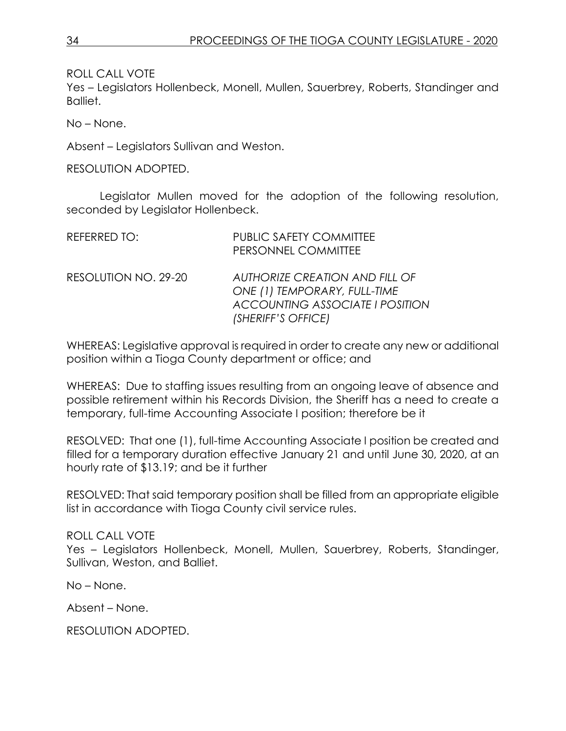Yes – Legislators Hollenbeck, Monell, Mullen, Sauerbrey, Roberts, Standinger and Balliet.

No – None.

Absent – Legislators Sullivan and Weston.

RESOLUTION ADOPTED.

Legislator Mullen moved for the adoption of the following resolution, seconded by Legislator Hollenbeck.

| REFERRED TO:         | <b>PUBLIC SAFETY COMMITTEE</b><br>PERSONNEL COMMITTEE                                                                                 |
|----------------------|---------------------------------------------------------------------------------------------------------------------------------------|
| RESOLUTION NO. 29-20 | <b>AUTHORIZE CREATION AND FILL OF</b><br>ONE (1) TEMPORARY, FULL-TIME<br><b>ACCOUNTING ASSOCIATE I POSITION</b><br>(SHERIFF'S OFFICE) |

WHEREAS: Legislative approval is required in order to create any new or additional position within a Tioga County department or office; and

WHEREAS: Due to staffing issues resulting from an ongoing leave of absence and possible retirement within his Records Division, the Sheriff has a need to create a temporary, full-time Accounting Associate I position; therefore be it

RESOLVED: That one (1), full-time Accounting Associate I position be created and filled for a temporary duration effective January 21 and until June 30, 2020, at an hourly rate of \$13.19; and be it further

RESOLVED: That said temporary position shall be filled from an appropriate eligible list in accordance with Tioga County civil service rules.

### ROLL CALL VOTE

Yes – Legislators Hollenbeck, Monell, Mullen, Sauerbrey, Roberts, Standinger, Sullivan, Weston, and Balliet.

No – None.

Absent – None.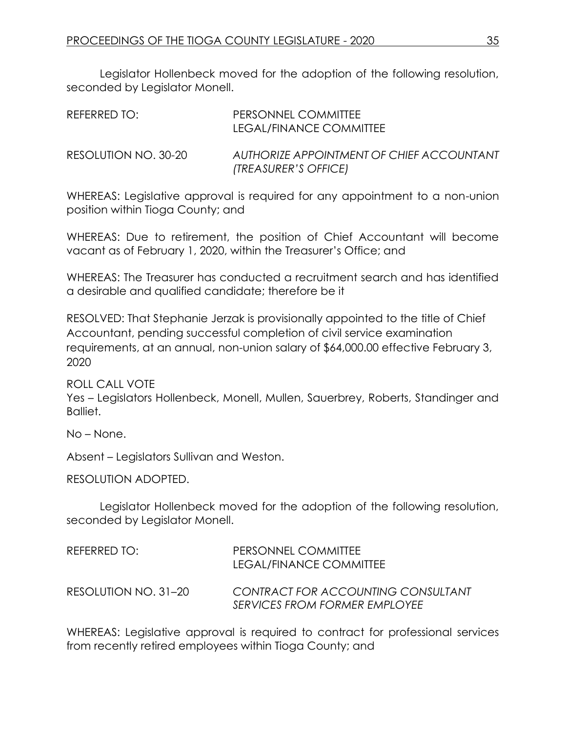Legislator Hollenbeck moved for the adoption of the following resolution, seconded by Legislator Monell.

| REFERRED TO:         | PERSONNEL COMMITTEE<br>LEGAL/FINANCE COMMITTEE                    |
|----------------------|-------------------------------------------------------------------|
| RESOLUTION NO. 30-20 | AUTHORIZE APPOINTMENT OF CHIEF ACCOUNTANT<br>(TREASURER'S OFFICE) |

WHEREAS: Legislative approval is required for any appointment to a non-union position within Tioga County; and

WHEREAS: Due to retirement, the position of Chief Accountant will become vacant as of February 1, 2020, within the Treasurer's Office; and

WHEREAS: The Treasurer has conducted a recruitment search and has identified a desirable and qualified candidate; therefore be it

RESOLVED: That Stephanie Jerzak is provisionally appointed to the title of Chief Accountant, pending successful completion of civil service examination requirements, at an annual, non-union salary of \$64,000.00 effective February 3, 2020

ROLL CALL VOTE

Yes – Legislators Hollenbeck, Monell, Mullen, Sauerbrey, Roberts, Standinger and Balliet.

No – None.

Absent – Legislators Sullivan and Weston.

RESOLUTION ADOPTED.

Legislator Hollenbeck moved for the adoption of the following resolution, seconded by Legislator Monell.

| REFERRED TO:         | PERSONNEL COMMITTEE<br>LEGAL/FINANCE COMMITTEE                             |
|----------------------|----------------------------------------------------------------------------|
| RESOLUTION NO. 31–20 | CONTRACT FOR ACCOUNTING CONSULTANT<br><b>SERVICES FROM FORMER EMPLOYEE</b> |

WHEREAS: Legislative approval is required to contract for professional services from recently retired employees within Tioga County; and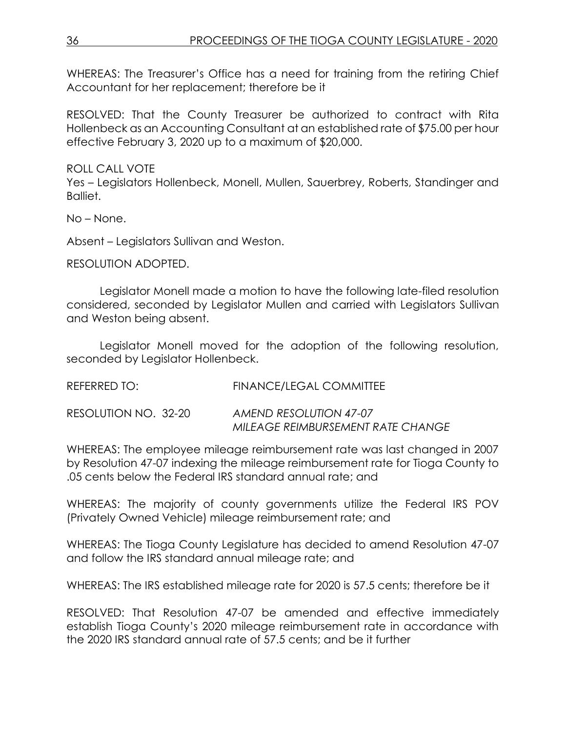WHEREAS: The Treasurer's Office has a need for training from the retiring Chief Accountant for her replacement; therefore be it

RESOLVED: That the County Treasurer be authorized to contract with Rita Hollenbeck as an Accounting Consultant at an established rate of \$75.00 per hour effective February 3, 2020 up to a maximum of \$20,000.

ROLL CALL VOTE

Yes – Legislators Hollenbeck, Monell, Mullen, Sauerbrey, Roberts, Standinger and Balliet.

No – None.

Absent – Legislators Sullivan and Weston.

RESOLUTION ADOPTED.

Legislator Monell made a motion to have the following late-filed resolution considered, seconded by Legislator Mullen and carried with Legislators Sullivan and Weston being absent.

Legislator Monell moved for the adoption of the following resolution, seconded by Legislator Hollenbeck.

REFERRED TO: FINANCE/LEGAL COMMITTEE

RESOLUTION NO. 32-20 *AMEND RESOLUTION 47-07 MILEAGE REIMBURSEMENT RATE CHANGE*

WHEREAS: The employee mileage reimbursement rate was last changed in 2007 by Resolution 47-07 indexing the mileage reimbursement rate for Tioga County to .05 cents below the Federal IRS standard annual rate; and

WHEREAS: The majority of county governments utilize the Federal IRS POV (Privately Owned Vehicle) mileage reimbursement rate; and

WHEREAS: The Tioga County Legislature has decided to amend Resolution 47-07 and follow the IRS standard annual mileage rate; and

WHEREAS: The IRS established mileage rate for 2020 is 57.5 cents; therefore be it

RESOLVED: That Resolution 47-07 be amended and effective immediately establish Tioga County's 2020 mileage reimbursement rate in accordance with the 2020 IRS standard annual rate of 57.5 cents; and be it further